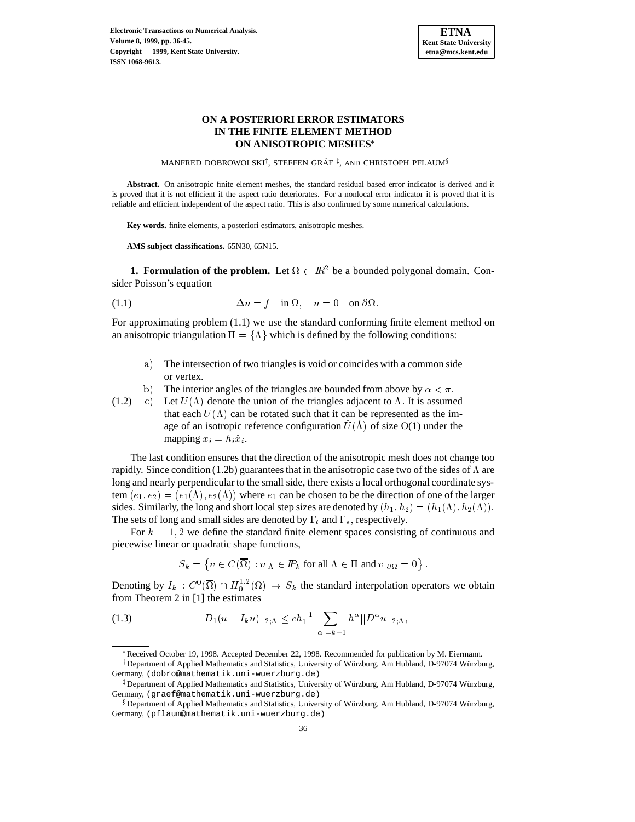

# **ON A POSTERIORI ERROR ESTIMATORS IN THE FINITE ELEMENT METHOD ON ANISOTROPIC MESHES**

MANFRED DOBROWOLSKI<sup>†</sup>, STEFFEN GRÄF $^\ddagger,$  and CHRISTOPH PFLAUM $^\S$ 

**Abstract.** On anisotropic finite element meshes, the standard residual based error indicator is derived and it is proved that it is not efficient if the aspect ratio deteriorates. For a nonlocal error indicator it is proved that it is reliable and efficient independent of the aspect ratio. This is also confirmed by some numerical calculations.

**Key words.** finite elements, a posteriori estimators, anisotropic meshes.

**AMS subject classifications.** 65N30, 65N15.

**1. Formulation of the problem.** Let  $\Omega \subset \mathbb{R}^2$  be a bounded polygonal domain. Consider Poisson's equation

(1.1) 
$$
-\Delta u = f \quad \text{in } \Omega, \quad u = 0 \quad \text{on } \partial \Omega.
$$

For approximating problem (1.1) we use the standard conforming finite element method on an anisotropic triangulation  $\Pi = {\Lambda}$  which is defined by the following conditions:

- a) The intersection of two triangles is void or coincides with a common side or vertex.
- b) The interior angles of the triangles are bounded from above by  $\alpha < \pi$ .
- c) Let  $U(\Lambda)$  denote the union of the triangles adjacent to  $\Lambda$ . It is assumed that each  $U(\Lambda)$  can be rotated such that it can be represented as the image of an isotropic reference configuration  $U(\Lambda)$  of size O(1) under the mapping  $x_i = h_i \hat{x}_i$ . (1.2)

The last condition ensures that the direction of the anisotropic mesh does not change too rapidly. Since condition (1.2b) guarantees that in the anisotropic case two of the sides of  $\Lambda$  are long and nearly perpendicular to the small side, there exists a local orthogonal coordinate system  $(e_1, e_2)=(e_1(\Lambda), e_2(\Lambda))$  where  $e_1$  can be chosen to be the direction of one of the larger sides. Similarly, the long and short local step sizes are denoted by  $(h_1, h_2)=(h_1(\Lambda), h_2(\Lambda))$ . The sets of long and small sides are denoted by  $\Gamma_l$  and  $\Gamma_s$ , respectively.

For  $k = 1, 2$  we define the standard finite element spaces consisting of continuous and piecewise linear or quadratic shape functions,

 $S_k = \{v \in C(\overline{\Omega}) : v|_{\Lambda} \in I\!\!P_k \text{ for all } \Lambda \in \Pi \text{ and } v|_{\partial \Omega} = 0\}.$ 

Denoting by  $I_k : C^0(\Omega) \cap H_0^{1/2}(\Omega) \to S_k$  the standard interpolation operators we obtain from Theorem 2 in [1] the estimates

(1.3) 
$$
||D_1(u - I_k u)||_{2; \Lambda} \leq c h_1^{-1} \sum_{|\alpha|=k+1} h^{\alpha} ||D^{\alpha} u||_{2; \Lambda},
$$

<sup>†</sup> Department of Applied Mathematics and Statistics, University of Würzburg, Am Hubland, D-97074 Würzburg, Germany, (dobro@mathematik.uni-wuerzburg.de)

<sup>\*</sup>Received October 19, 1998. Accepted December 22, 1998. Recommended for publication by M. Eiermann.

<sup>&</sup>lt;sup>‡</sup> Department of Applied Mathematics and Statistics, University of Würzburg, Am Hubland, D-97074 Würzburg, Germany, (graef@mathematik.uni-wuerzburg.de)

<sup>&</sup>lt;sup>§</sup> Department of Applied Mathematics and Statistics, University of Würzburg, Am Hubland, D-97074 Würzburg, Germany, (pflaum@mathematik.uni-wuerzburg.de)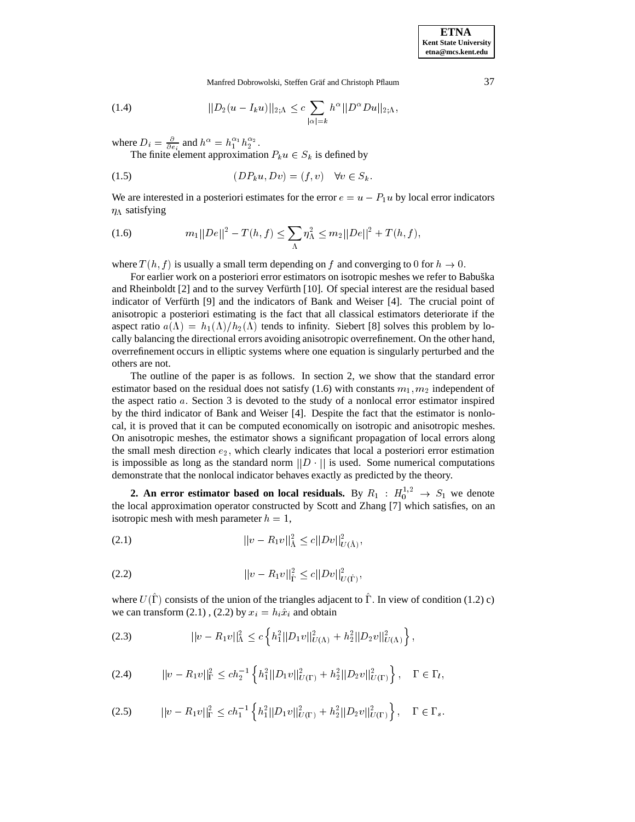**ETNA Kent State University etna@mcs.kent.edu**

Manfred Dobrowolski, Steffen Gräf and Christoph Pflaum 37

(1.4) 
$$
||D_2(u - I_k u)||_{2,\Lambda} \leq c \sum_{|\alpha|=k} h^{\alpha} ||D^{\alpha} Du||_{2,\Lambda},
$$

where  $D_i = \frac{\partial}{\partial e_i}$  and  $h^{\alpha} = h_1^{\alpha_1} h_2^{\alpha_2}$ .<br>The finite element approximation  $P_k u \in S_k$  is defined by

$$
(1.5) \t\t\t\t (DP_k u, Dv) = (f, v) \quad \forall v \in S_k.
$$

We are interested in a posteriori estimates for the error  $e = u - P_1u$  by local error indicators  $\eta_{\Lambda}$  satisfying

(1.6) 
$$
m_1||De||^2 - T(h,f) \leq \sum_{\Lambda} \eta_{\Lambda}^2 \leq m_2||De||^2 + T(h,f),
$$

where  $T(h, f)$  is usually a small term depending on f and converging to 0 for  $h \to 0$ .

For earlier work on a posteriori error estimators on isotropic meshes we refer to Babuška and Rheinboldt [2] and to the survey Verfürth [10]. Of special interest are the residual based indicator of Verfürth [9] and the indicators of Bank and Weiser [4]. The crucial point of anisotropic a posteriori estimating is the fact that all classical estimators deteriorate if the aspect ratio  $a(\Lambda) = h_1(\Lambda)/h_2(\Lambda)$  tends to infinity. Siebert [8] solves this problem by locally balancing the directional errors avoiding anisotropic overrefinement. On the other hand, overrefinement occurs in elliptic systems where one equation is singularly perturbed and the others are not.

The outline of the paper is as follows. In section 2, we show that the standard error estimator based on the residual does not satisfy (1.6) with constants  $m_1, m_2$  independent of the aspect ratio a: Section 3 is devoted to the study of a nonlocal error estimator inspired by the third indicator of Bank and Weiser [4]. Despite the fact that the estimator is nonlocal, it is proved that it can be computed economically on isotropic and anisotropic meshes. On anisotropic meshes, the estimator shows a significant propagation of local errors along the small mesh direction  $e_2$ , which clearly indicates that local a posteriori error estimation is impossible as long as the standard norm  $||D \cdot||$  is used. Some numerical computations demonstrate that the nonlocal indicator behaves exactly as predicted by the theory.

**2.** An error estimator based on local residuals. By  $R_1 : H_0^{1,2} \to S_1$  we denote the local approximation operator constructed by Scott and Zhang [7] which satisfies, on an isotropic mesh with mesh parameter  $h = 1$ ,

$$
||v - R_1v||^2_{\hat{\Lambda}} \le c||Dv||^2_{U(\hat{\Lambda})},
$$

$$
||v - R_1v||_{\hat{\Gamma}}^2 \le c||Dv||_{U(\hat{\Gamma})}^2,
$$

where  $U(\Gamma)$  consists of the union of the triangles adjacent to  $\Gamma$ . In view of condition (1.2) c) we can transform (2.1), (2.2) by  $x_i = h_i \hat{x}_i$  and obtain

$$
(2.3) \t\t ||v - R_1v||\Lambda2 \le c \left\{ h_1^2 ||D_1v||_{U(\Lambda)}^2 + h_2^2 ||D_2v||_{U(\Lambda)}^2 \right\},
$$

$$
(2.4) \t ||v - R_1v||_{\Gamma}^2 \leq ch_2^{-1} \left\{ h_1^2 ||D_1v||_{U(\Gamma)}^2 + h_2^2 ||D_2v||_{U(\Gamma)}^2 \right\}, \quad \Gamma \in \Gamma_l,
$$

$$
(2.5) \t ||v - R_1 v||_{\Gamma}^2 \leq c h_1^{-1} \left\{ h_1^2 ||D_1 v||_{U(\Gamma)}^2 + h_2^2 ||D_2 v||_{U(\Gamma)}^2 \right\}, \quad \Gamma \in \Gamma_s.
$$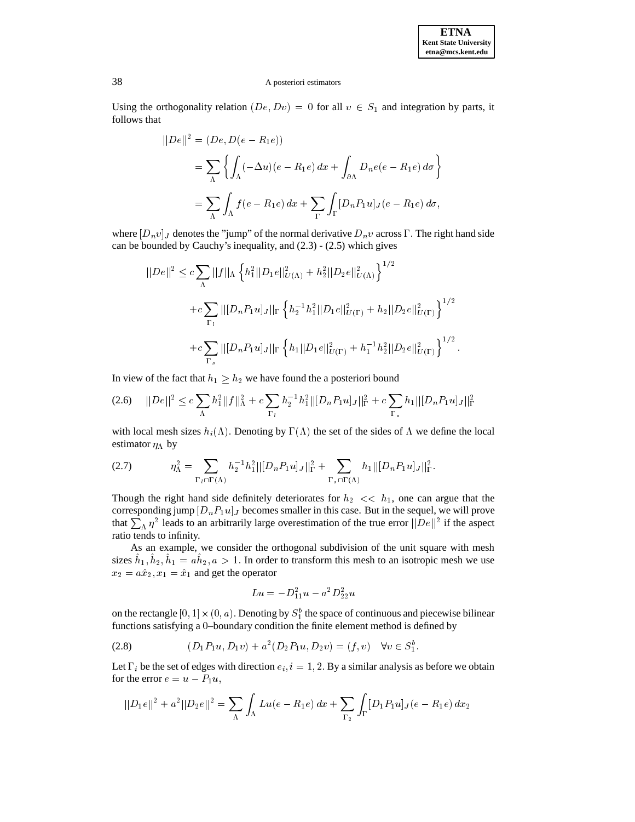Using the orthogonality relation  $(De, Dv) = 0$  for all  $v \in S_1$  and integration by parts, it follows that

$$
||De||2 = (De, D(e - R1e))
$$
  
= 
$$
\sum_{\Lambda} \left\{ \int_{\Lambda} (-\Delta u)(e - R1e) dx + \int_{\partial \Lambda} D_n e(e - R_1e) d\sigma \right\}
$$
  
= 
$$
\sum_{\Lambda} \int_{\Lambda} f(e - R_1e) dx + \sum_{\Gamma} \int_{\Gamma} [D_n P_1 u]_J(e - R_1e) d\sigma,
$$

where  $[D_n v]_J$  denotes the "jump" of the normal derivative  $D_n v$  across  $\Gamma$ . The right hand side can be bounded by Cauchy's inequality, and (2.3) - (2.5) which gives

$$
||De||^{2} \leq c \sum_{\Lambda} ||f||_{\Lambda} \left\{ h_{1}^{2} ||D_{1}e||_{U(\Lambda)}^{2} + h_{2}^{2} ||D_{2}e||_{U(\Lambda)}^{2} \right\}^{1/2} + c \sum_{\Gamma_{l}} ||[D_{n}P_{1}u]_{J}||_{\Gamma} \left\{ h_{2}^{-1}h_{1}^{2} ||D_{1}e||_{U(\Gamma)}^{2} + h_{2} ||D_{2}e||_{U(\Gamma)}^{2} \right\}^{1/2} + c \sum_{\Gamma_{s}} ||[D_{n}P_{1}u]_{J}||_{\Gamma} \left\{ h_{1} ||D_{1}e||_{U(\Gamma)}^{2} + h_{1}^{-1}h_{2}^{2} ||D_{2}e||_{U(\Gamma)}^{2} \right\}^{1/2}.
$$

In view of the fact that  $h_1 \geq h_2$  we have found the a posteriori bound

$$
(2.6) \quad ||De||^2 \leq c \sum_{\Lambda} h_1^2 ||f||_{\Lambda}^2 + c \sum_{\Gamma_l} h_2^{-1} h_1^2 ||[D_n P_1 u]_J||_{\Gamma}^2 + c \sum_{\Gamma_s} h_1 ||[D_n P_1 u]_J||_{\Gamma}^2
$$

with local mesh sizes  $h_i(\Lambda)$ . Denoting by  $\Gamma(\Lambda)$  the set of the sides of  $\Lambda$  we define the local estimator  $\eta_A$  by

$$
(2.7) \t\t \eta_{\Lambda}^2 = \sum_{\Gamma_l \cap \Gamma(\Lambda)} h_2^{-1} h_1^2 ||[D_n P_1 u]_J||_{\Gamma}^2 + \sum_{\Gamma_s \cap \Gamma(\Lambda)} h_1 ||[D_n P_1 u]_J||_{\Gamma}^2.
$$

Though the right hand side definitely deteriorates for  $h_2 \ll h_1$ , one can argue that the corresponding jump  $[D_nP_1u]_J$  becomes smaller in this case. But in the sequel, we will prove that  $\sum_{\Lambda} \eta^2$  leads to an arbitrarily large overestimation of the true error  $||De||^2$  if the aspect ratio tends to infinity.

As an example, we consider the orthogonal subdivision of the unit square with mesh sizes  $h_1, h_2, h_1 = ah_2, a > 1$ . In order to transform this mesh to an isotropic mesh we use  $x_2 = a\hat{x}_2, x_1 = \hat{x}_1$  and get the operator

$$
Lu = -D_{11}^2 u - a^2 D_{22}^2 u
$$

on the rectangle  $[0,1] \times (0,a)$  . Denoting by  $S_1^b$  the space of continuous and piecewise bilinear functions satisfying a <sup>0</sup>–boundary condition the finite element method is defined by

$$
(2.8) \t\t\t (D_1 P_1 u, D_1 v) + a^2 (D_2 P_1 u, D_2 v) = (f, v) \quad \forall v \in S_1^b.
$$

Let  $\Gamma_i$  be the set of edges with direction  $e_i$ ,  $i = 1, 2$ . By a similar analysis as before we obtain for the error  $e = u - P_1 u$ ,

$$
||D_1e||^2 + a^2||D_2e||^2 = \sum_{\Lambda} \int_{\Lambda} Lu(e - R_1e) dx + \sum_{\Gamma_2} \int_{\Gamma} [D_1P_1u]_J(e - R_1e) dx_2
$$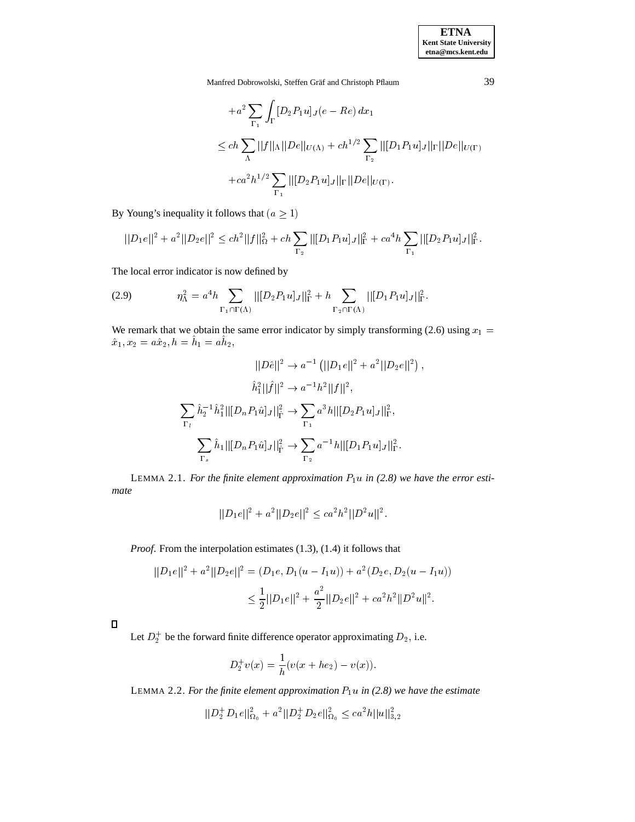Manfred Dobrowolski, Steffen Gräf and Christoph Pflaum 39

$$
+a^{2} \sum_{\Gamma_{1}} \int_{\Gamma} [D_{2}P_{1}u]_{J}(e-Re) dx_{1}
$$
  
\n
$$
\leq ch \sum_{\Lambda} ||f||_{\Lambda}||De||_{U(\Lambda)} + ch^{1/2} \sum_{\Gamma_{2}} ||[D_{1}P_{1}u]_{J}||_{\Gamma}||De||_{U(\Gamma)}
$$
  
\n
$$
+ca^{2}h^{1/2} \sum_{\Gamma_{1}} ||[D_{2}P_{1}u]_{J}||_{\Gamma}||De||_{U(\Gamma)}.
$$

By Young's inequality it follows that  $(a \ge 1)$ 

$$
||D_1e||^2 + a^2||D_2e||^2 \le ch^2||f||_{\Omega}^2 + ch \sum_{\Gamma_2} ||[D_1P_1u]_J||_{\Gamma}^2 + ca^4h \sum_{\Gamma_1} ||[D_2P_1u]_J||_{\Gamma}^2.
$$

The local error indicator is now defined by

(2.9) 
$$
\eta_{\Lambda}^2 = a^4 h \sum_{\Gamma_1 \cap \Gamma(\Lambda)} ||[D_2 P_1 u]_J||_{\Gamma}^2 + h \sum_{\Gamma_2 \cap \Gamma(\Lambda)} ||[D_1 P_1 u]_J||_{\Gamma}^2.
$$

We remark that we obtain the same error indicator by simply transforming (2.6) using  $x_1 =$  $x_1, x_2 = a x_2, n = n_1 = a n_2,$ 

$$
||D\hat{e}||^2 \to a^{-1} (||D_1e||^2 + a^2||D_2e||^2),
$$
  

$$
\hat{h}_1^2||\hat{f}||^2 \to a^{-1}h^2||f||^2,
$$
  

$$
\sum_{\Gamma_l} \hat{h}_2^{-1}\hat{h}_1^2||[D_nP_1\hat{u}]_J||_{\hat{\Gamma}}^2 \to \sum_{\Gamma_1} a^3h||[D_2P_1u]_J||_{\Gamma}^2,
$$
  

$$
\sum_{\Gamma_s} \hat{h}_1||[D_nP_1\hat{u}]_J||_{\hat{\Gamma}}^2 \to \sum_{\Gamma_2} a^{-1}h||[D_1P_1u]_J||_{\Gamma}^2.
$$

LEMMA 2.1. *For the finite element approximation*  $P_1u$  *in* (2.8) we have the error esti*mate*

$$
||D_1e||^2 + a^2||D_2e||^2 \le ca^2h^2||D^2u||^2.
$$

*Proof*. From the interpolation estimates (1.3), (1.4) it follows that

$$
||D_1e||^2 + a^2||D_2e||^2 = (D_1e, D_1(u - I_1u)) + a^2(D_2e, D_2(u - I_1u))
$$
  

$$
\leq \frac{1}{2}||D_1e||^2 + \frac{a^2}{2}||D_2e||^2 + ca^2h^2||D^2u||^2.
$$

Let  $D_2^+$  be the forward finite difference operator approximating  $D_2$ , i.e.

$$
D_2^+ v(x) = \frac{1}{h}(v(x + he_2) - v(x)).
$$

LEMMA 2.2. For the finite element approximation  $P_1u$  in (2.8) we have the estimate

$$
||D_2^+ D_1e||^2_{\Omega_0} + a^2 ||D_2^+ D_2e||^2_{\Omega_0} \leq c a^2 h ||u||^2_{3,2}
$$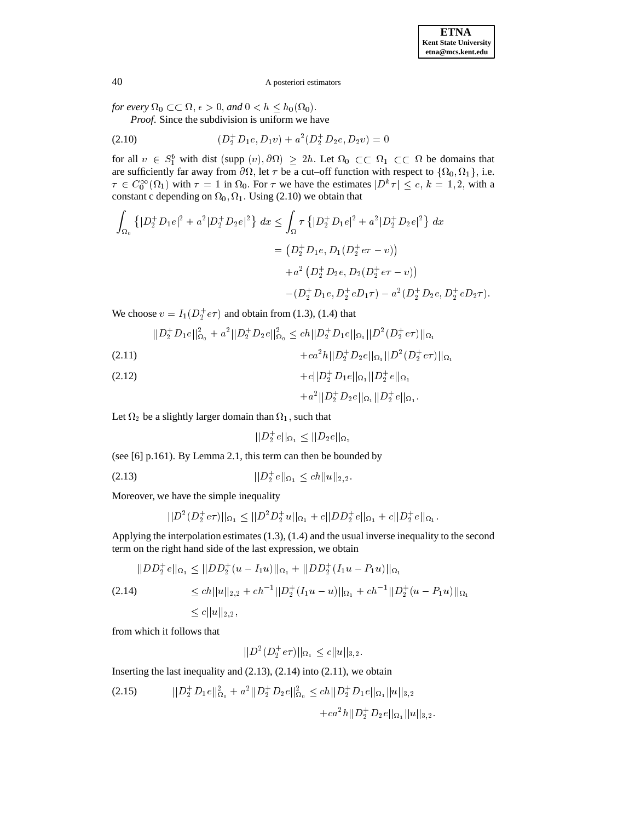*for every*  $\Omega_0 \subset\subset \Omega$ ,  $\epsilon > 0$ , and  $0 < h \leq h_0(\Omega_0)$ .

*Proof*. Since the subdivision is uniform we have

(2.10) 
$$
(D_2^+ D_1 e, D_1 v) + a^2 (D_2^+ D_2 e, D_2 v) = 0
$$

for all  $v \in S_1^b$  with dist (supp  $(v), \partial \Omega) \ge 2h$ . Let  $\Omega_0 \subset\subset \Omega_1 \subset\subset \Omega$  be domains that are sufficiently far away from  $\partial\Omega$ , let  $\tau$  be a cut–off function with respect to  $\{\Omega_0, \Omega_1\}$ , i.e.  $\tau \in C_0^{\infty}(\Omega_1)$  with  $\tau = 1$  in  $\Omega_0$ . For  $\tau$  we have the estimates  $|D^k \tau| \leq c, k = 1, 2$ , with a constant c depending on  $\Omega_0$ ,  $\Omega_1$ . Using (2.10) we obtain that

$$
\int_{\Omega_0} \left\{ |D_2^+ D_1 e|^2 + a^2 |D_2^+ D_2 e|^2 \right\} dx \le \int_{\Omega} \tau \left\{ |D_2^+ D_1 e|^2 + a^2 |D_2^+ D_2 e|^2 \right\} dx
$$
  

$$
= (D_2^+ D_1 e, D_1 (D_2^+ e \tau - v))
$$
  

$$
+ a^2 (D_2^+ D_2 e, D_2 (D_2^+ e \tau - v))
$$
  

$$
- (D_2^+ D_1 e, D_2^+ e D_1 \tau) - a^2 (D_2^+ D_2 e, D_2^+ e D_2 \tau).
$$

We choose  $v = I_1(D_2^+e\tau)$  and obtain from (1.3), (1.4) that

$$
||D_2^+ D_1 e||_{\Omega_0}^2 + a^2 ||D_2^+ D_2 e||_{\Omega_0}^2 \le ch ||D_2^+ D_1 e||_{\Omega_1} ||D^2 (D_2^+ e\tau)||_{\Omega_1}
$$

$$
+ca^2h||D_2^+D_2e||_{\Omega_1}||D^2(D_2^+e\tau)||_{\Omega_1}
$$

(2.12) 
$$
+c||D_2^+D_1e||_{\Omega_1}||D_2^+e||_{\Omega_1}
$$

$$
+ a^2 \|D_2^+ D_2 e\|_{\Omega_1} \|D_2^+ e\|_{\Omega_1}.
$$

Let  $\Omega_2$  be a slightly larger domain than  $\Omega_1$ , such that

$$
||D_2^+e||_{\Omega_1} \leq ||D_2e||_{\Omega_2}
$$

(see [6] p.161). By Lemma 2.1, this term can then be bounded by

$$
||D_2^+e||_{\Omega_1} \le ch||u||_{2,2}.
$$

Moreover, we have the simple inequality

$$
||D^2(D_2^+e\tau)||_{\Omega_1} \leq ||D^2D_2^+u||_{\Omega_1} + c||DD_2^+e||_{\Omega_1} + c||D_2^+e||_{\Omega_1}.
$$

Applying the interpolation estimates (1.3), (1.4) and the usual inverse inequality to the second term on the right hand side of the last expression, we obtain

$$
||DD_2^+ e||_{\Omega_1} \le ||DD_2^+(u - I_1u)||_{\Omega_1} + ||DD_2^+(I_1u - P_1u)||_{\Omega_1}
$$
  
(2.14)  

$$
\le ch||u||_{2,2} + ch^{-1}||D_2^+(I_1u - u)||_{\Omega_1} + ch^{-1}||D_2^+(u - P_1u)||_{\Omega_1}
$$
  

$$
\le c||u||_{2,2},
$$

from which it follows that

$$
||D^2(D_2^+e\tau)||_{\Omega_1} \le c||u||_{3,2}.
$$

Inserting the last inequality and  $(2.13)$ ,  $(2.14)$  into  $(2.11)$ , we obtain

$$
(2.15) \t ||D_2^+ D_1 e||_{\Omega_0}^2 + a^2 ||D_2^+ D_2 e||_{\Omega_0}^2 \le ch ||D_2^+ D_1 e||_{\Omega_1} ||u||_{3,2} + ca^2 h ||D_2^+ D_2 e||_{\Omega_1} ||u||_{3,2}.
$$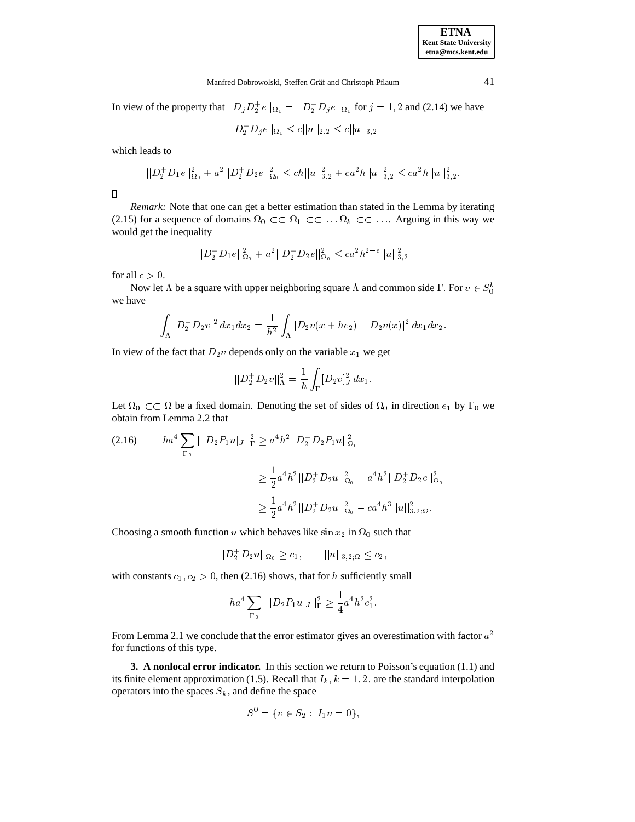#### Manfred Dobrowolski, Steffen Gräf and Christoph Pflaum 41

In view of the property that  $||D_j D_2^+ e||_{\Omega_1} = ||D_2^+ D_j e||_{\Omega_1}$  for  $j = 1, 2$  and (2.14) we have

 $||D_2 D_j e||_{\Omega_1} \leq c ||u||_{2,2} \leq c ||u||_{3,2}$ 

which leads to

$$
||D_2^+ D_1e||_{\Omega_0}^2 + a^2||D_2^+ D_2e||_{\Omega_0}^2 \le ch||u||_{3,2}^2 + ca^2h||u||_{3,2}^2 \le ca^2h||u||_{3,2}^2.
$$

 $\Box$ 

*Remark:* Note that one can get a better estimation than stated in the Lemma by iterating (2.15) for a sequence of domains  $\Omega_0 \subset \subset \Omega_1 \subset \subset \ldots \Omega_k \subset \subset \ldots$  Arguing in this way we would get the inequality

$$
||D_2^+ D_1e||^2_{\Omega_0} + a^2 ||D_2^+ D_2e||^2_{\Omega_0} \leq c a^2 h^{2-\epsilon} ||u||^2_{3,2}
$$

for all  $\epsilon > 0$ .

Now let  $\Lambda$  be a square with upper neighboring square  $\Lambda$  and common side  $\Gamma$ . For  $v \in S_0^b$ we have

$$
\int_{\Lambda} |D_2^+ D_2 v|^2 \, dx_1 dx_2 = \frac{1}{h^2} \int_{\Lambda} |D_2 v(x + he_2) - D_2 v(x)|^2 \, dx_1 dx_2.
$$

In view of the fact that  $D_2v$  depends only on the variable  $x_1$  we get

$$
||D_2^+ D_2 v||^2_{\Lambda} = \frac{1}{h} \int_{\Gamma} [D_2 v]^2_J dx_1.
$$

Let  $\Omega_0 \subset \Omega$  be a fixed domain. Denoting the set of sides of  $\Omega_0$  in direction  $e_1$  by  $\Gamma_0$  we obtain from Lemma 2.2 that

ha<sup>4</sup><sup>X</sup> 0 jj[D2P1u]J jj<sup>2</sup> <sup>a</sup> 4h2 jjD<sup>+</sup> <sup>2</sup> D2P1ujj2 (2.16) <sup>1</sup> <sup>a</sup> 4h2 jjD<sup>+</sup> <sup>2</sup> D2ujj2 <sup>0</sup> <sup>a</sup> 4h2 jjD<sup>+</sup> <sup>2</sup> D2ejj2 <sup>1</sup> <sup>2</sup> <sup>a</sup> 4h2 jjD<sup>+</sup> <sup>2</sup> D2ujj2 <sup>0</sup> ca4h3 jjujj2 3;2;

Choosing a smooth function u which behaves like  $\sin x_2$  in  $\Omega_0$  such that

$$
||D_2^+ D_2 u||_{\Omega_0} \ge c_1, \qquad ||u||_{3,2;\Omega} \le c_2,
$$

with constants  $c_1, c_2 > 0$ , then (2.16) shows, that for h sufficiently small

$$
ha^4 \sum_{\Gamma_0} ||[D_2 P_1 u]_J||^2_{\Gamma} \ge \frac{1}{4} a^4 h^2 c_1^2.
$$

From Lemma 2.1 we conclude that the error estimator gives an overestimation with factor  $a^2$ for functions of this type.

**3. A nonlocal error indicator.** In this section we return to Poisson's equation (1.1) and its finite element approximation (1.5). Recall that  $I_k$ ,  $k = 1, 2$ , are the standard interpolation operators into the spaces  $S_k$ , and define the space

$$
S^0 = \{ v \in S_2 : I_1 v = 0 \},\
$$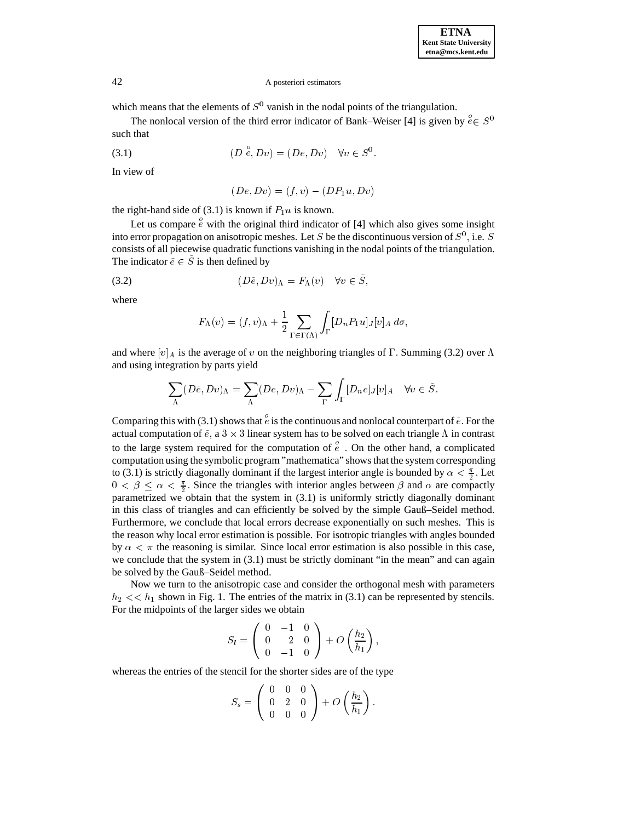which means that the elements of  $S^0$  vanish in the nodal points of the triangulation.

The nonlocal version of the third error indicator of Bank–Weiser [4] is given by  $e \in S^0$ such that

$$
(3.1) \t(D \stackrel{\circ}{e}, Dv) = (De, Dv) \quad \forall v \in S^0.
$$

In view of

$$
(De, Dv) = (f, v) - (DP1u, Dv)
$$

the right-hand side of (3.1) is known if  $P_1u$  is known.

Let us compare  $\stackrel{\circ}{e}$  with the original third indicator of [4] which also gives some insight into error propagation on anisotropic meshes. Let S be the discontinuous version of  $S^0$  , i.e. S consists of all piecewise quadratic functions vanishing in the nodal points of the triangulation. The indicator  $\tilde{e} \in \tilde{S}$  is then defined by

$$
(3.2) \t\t\t\t(D\tilde{e}, Dv)_{\Lambda} = F_{\Lambda}(v) \quad \forall v \in S,
$$

where

$$
F_{\Lambda}(v) = (f, v)_{\Lambda} + \frac{1}{2} \sum_{\Gamma \in \Gamma(\Lambda)} \int_{\Gamma} [D_n P_1 u]_J[v]_A d\sigma,
$$

and where  $[v]_A$  is the average of v on the neighboring triangles of  $\Gamma$ . Summing (3.2) over  $\Lambda$ and using integration by parts yield

$$
\sum_{\Lambda} (D\tilde{e}, Dv)_{\Lambda} = \sum_{\Lambda} (De, Dv)_{\Lambda} - \sum_{\Gamma} \int_{\Gamma} [D_n e]_J [v]_A \quad \forall v \in \tilde{S}.
$$

Comparing this with (3.1) shows that  $\stackrel{\circ}{e}$  is the continuous and nonlocal counterpart of  $\tilde{e}$ . For the actual computation of  $\tilde{e}$ , a  $3 \times 3$  linear system has to be solved on each triangle  $\Lambda$  in contrast to the large system required for the computation of  $\overset{\circ}{e}$ . On the other hand, a complicated computation using the symbolic program "mathematica" shows that the system corresponding to (3.1) is strictly diagonally dominant if the largest interior angle is bounded by  $\alpha < \frac{\pi}{2}$ . Let  $0 < \beta \leq \alpha < \frac{\pi}{2}$ . Since the triangles with interior angles between  $\beta$  and  $\alpha$  are compactly parametrized we obtain that the system in (3.1) is uniformly strictly diagonally dominant in this class of triangles and can efficiently be solved by the simple Gauß–Seidel method. Furthermore, we conclude that local errors decrease exponentially on such meshes. This is the reason why local error estimation is possible. For isotropic triangles with angles bounded by  $\alpha < \pi$  the reasoning is similar. Since local error estimation is also possible in this case, we conclude that the system in (3.1) must be strictly dominant "in the mean" and can again be solved by the Gauß–Seidel method.

Now we turn to the anisotropic case and consider the orthogonal mesh with parameters  $h_2 \ll h_1$  shown in Fig. 1. The entries of the matrix in (3.1) can be represented by stencils. For the midpoints of the larger sides we obtain

$$
S_l=\left(\begin{array}{ccc}0&-1&0\\0&2&0\\0&-1&0\end{array}\right)+O\left(\frac{h_2}{h_1}\right),
$$

whereas the entries of the stencil for the shorter sides are of the type

$$
S_s = \left(\begin{array}{ccc} 0 & 0 & 0 \\ 0 & 2 & 0 \\ 0 & 0 & 0 \end{array}\right) + O\left(\frac{h_2}{h_1}\right).
$$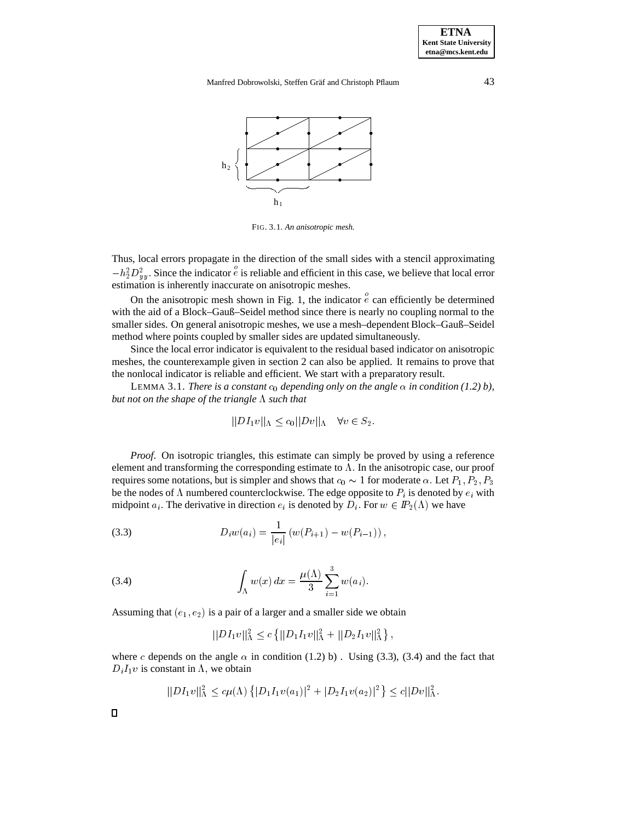**ETNA Kent State University etna@mcs.kent.edu**

Manfred Dobrowolski, Steffen Gräf and Christoph Pflaum 43



FIG. 3.1. *An anisotropic mesh.*

Thus, local errors propagate in the direction of the small sides with a stencil approximating  $-h_2^2D_{uu}^2$ . Since the indicator  $\epsilon$  is reliable and efficient in this case, we believe that local error estimation is inherently inaccurate on anisotropic meshes.

On the anisotropic mesh shown in Fig. 1, the indicator  $\overset{\circ}{e}$  can efficiently be determined with the aid of a Block–Gauß–Seidel method since there is nearly no coupling normal to the smaller sides. On general anisotropic meshes, we use a mesh–dependent Block–Gauß–Seidel method where points coupled by smaller sides are updated simultaneously.

Since the local error indicator is equivalent to the residual based indicator on anisotropic meshes, the counterexample given in section 2 can also be applied. It remains to prove that the nonlocal indicator is reliable and efficient. We start with a preparatory result.

LEMMA 3.1. *There is a constant*  $c_0$  *depending only on the angle*  $\alpha$  *in condition* (1.2) *b*), *but not on the shape of the triangle*  $\Lambda$  *such that* 

$$
||DI_1v||_{\Lambda} \le c_0 ||Dv||_{\Lambda} \quad \forall v \in S_2.
$$

*Proof*. On isotropic triangles, this estimate can simply be proved by using a reference element and transforming the corresponding estimate to  $\Lambda$ . In the anisotropic case, our proof requires some notations, but is simpler and shows that  $c_0 \sim 1$  for moderate  $\alpha$ . Let  $P_1, P_2, P_3$ be the nodes of  $\Lambda$  numbered counterclockwise. The edge opposite to  $P_i$  is denoted by  $e_i$  with midpoint  $a_i$ . The derivative in direction  $e_i$  is denoted by  $D_i$ . For  $w \in I\!\!P_2(\Lambda)$  we have

(3.3) 
$$
D_i w(a_i) = \frac{1}{|e_i|} (w(P_{i+1}) - w(P_{i-1})),
$$

(3.4) 
$$
\int_{\Lambda} w(x) dx = \frac{\mu(\Lambda)}{3} \sum_{i=1}^{3} w(a_i).
$$

Assuming that  $(e_1, e_2)$  is a pair of a larger and a smaller side we obtain

$$
||DI_1v||^2_{\Lambda} \le c \{ ||D_1I_1v||^2_{\Lambda} + ||D_2I_1v||^2_{\Lambda} \},
$$

where c depends on the angle  $\alpha$  in condition (1.2) b). Using (3.3), (3.4) and the fact that  $D_iI_1v$  is constant in  $\Lambda$ , we obtain

$$
||DI_1v||^2_{\Lambda} \leq c\mu(\Lambda) \left\{ |D_1I_1v(a_1)|^2 + |D_2I_1v(a_2)|^2 \right\} \leq c||Dv||^2_{\Lambda}.
$$

 $\Box$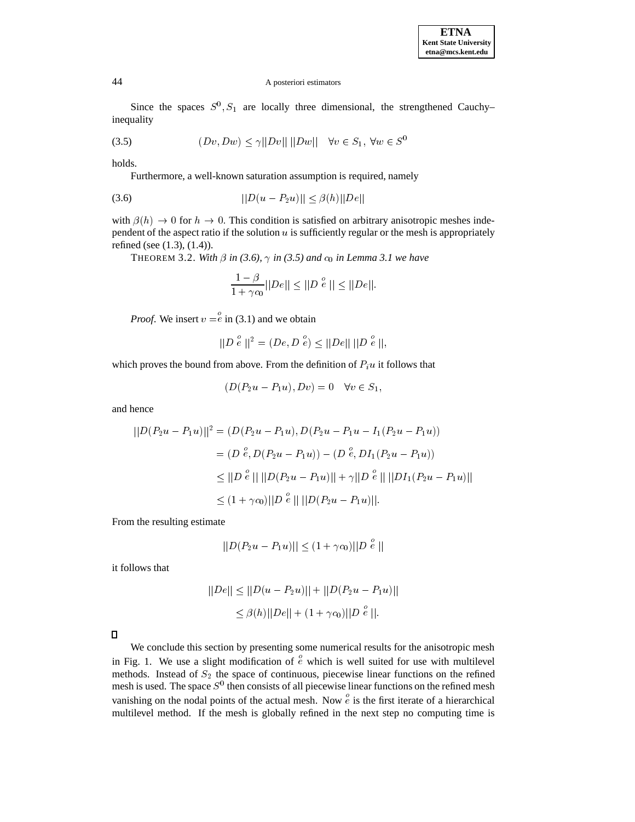Since the spaces  $S^0$ ,  $S_1$  are locally three dimensional, the strengthened Cauchy– inequality

$$
(3.5) \t\t\t\t(Dv, Dw) \le \gamma ||Dv|| \, ||Dw|| \quad \forall v \in S_1, \,\forall w \in S^0
$$

holds.

Furthermore, a well-known saturation assumption is required, namely

$$
||D(u - P_2u)|| \le \beta(h)||De||
$$

with  $\beta(h) \to 0$  for  $h \to 0$ . This condition is satisfied on arbitrary anisotropic meshes independent of the aspect ratio if the solution  $u$  is sufficiently regular or the mesh is appropriately refined (see (1.3), (1.4)).

THEOREM 3.2. With  $\beta$  in (3.6),  $\gamma$  in (3.5) and  $c_0$  in Lemma 3.1 we have

$$
\frac{1-\beta}{1+\gamma c_0}||De|| \le ||D e|| \le ||De||.
$$

*Proof.* We insert  $v = e$  in (3.1) and we obtain

$$
||D \stackrel{o}{e}||^2 = (De, D \stackrel{o}{e}) \le ||De|| \ ||D \stackrel{o}{e}||,
$$

which proves the bound from above. From the definition of  $P_i u$  it follows that

$$
(D(P_2u - P_1u), Dv) = 0 \quad \forall v \in S_1,
$$

and hence

$$
||D(P_2u - P_1u)||^2 = (D(P_2u - P_1u), D(P_2u - P_1u - I_1(P_2u - P_1u))
$$
  
=  $(D \stackrel{o}{e}, D(P_2u - P_1u)) - (D \stackrel{o}{e}, DI_1(P_2u - P_1u))$   
 $\leq ||D \stackrel{o}{e}|| ||D(P_2u - P_1u)|| + \gamma ||D \stackrel{o}{e}|| ||DI_1(P_2u - P_1u)||$   
 $\leq (1 + \gamma c_0) ||D \stackrel{o}{e}|| ||D(P_2u - P_1u)||.$ 

From the resulting estimate

$$
||D(P_2u - P_1u)|| \le (1 + \gamma c_0)||D^e e||
$$

it follows that

$$
||De|| \le ||D(u - P_2u)|| + ||D(P_2u - P_1u)||
$$
  
\n
$$
\le \beta(h)||De|| + (1 + \gamma c_0)||D \stackrel{\circ}{e}||.
$$

 $\Box$ 

We conclude this section by presenting some numerical results for the anisotropic mesh in Fig. 1. We use a slight modification of  $\stackrel{\circ}{e}$  which is well suited for use with multilevel methods. Instead of  $S_2$  the space of continuous, piecewise linear functions on the refined mesh is used. The space  $S^0$  then consists of all piecewise linear functions on the refined mesh vanishing on the nodal points of the actual mesh. Now  $\overset{\circ}{e}$  is the first iterate of a hierarchical multilevel method. If the mesh is globally refined in the next step no computing time is